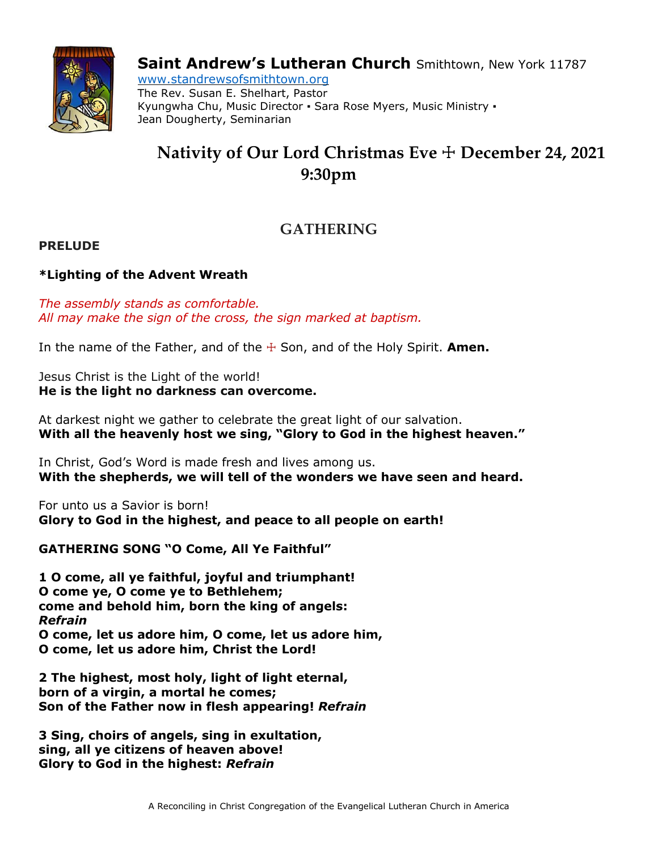

**Saint Andrew's Lutheran Church** Smithtown, New York 11787

www.standrewsofsmithtown.org The Rev. Susan E. Shelhart, Pastor Kyungwha Chu, Music Director · Sara Rose Myers, Music Ministry · Jean Dougherty, Seminarian

# **Nativity of Our Lord Christmas Eve** ☩ **December 24, 2021 9:30pm**

## **GATHERING**

## **PRELUDE**

## **\*Lighting of the Advent Wreath**

*The assembly stands as comfortable. All may make the sign of the cross, the sign marked at baptism.*

In the name of the Father, and of the  $\pm$  Son, and of the Holy Spirit. **Amen.** 

Jesus Christ is the Light of the world! **He is the light no darkness can overcome.**

At darkest night we gather to celebrate the great light of our salvation. **With all the heavenly host we sing, "Glory to God in the highest heaven."**

In Christ, God's Word is made fresh and lives among us. **With the shepherds, we will tell of the wonders we have seen and heard.**

For unto us a Savior is born! **Glory to God in the highest, and peace to all people on earth!**

**GATHERING SONG "O Come, All Ye Faithful"**

**1 O come, all ye faithful, joyful and triumphant! O come ye, O come ye to Bethlehem; come and behold him, born the king of angels:** *Refrain* **O come, let us adore him, O come, let us adore him, O come, let us adore him, Christ the Lord!**

**2 The highest, most holy, light of light eternal, born of a virgin, a mortal he comes; Son of the Father now in flesh appearing!** *Refrain*

**3 Sing, choirs of angels, sing in exultation, sing, all ye citizens of heaven above! Glory to God in the highest:** *Refrain*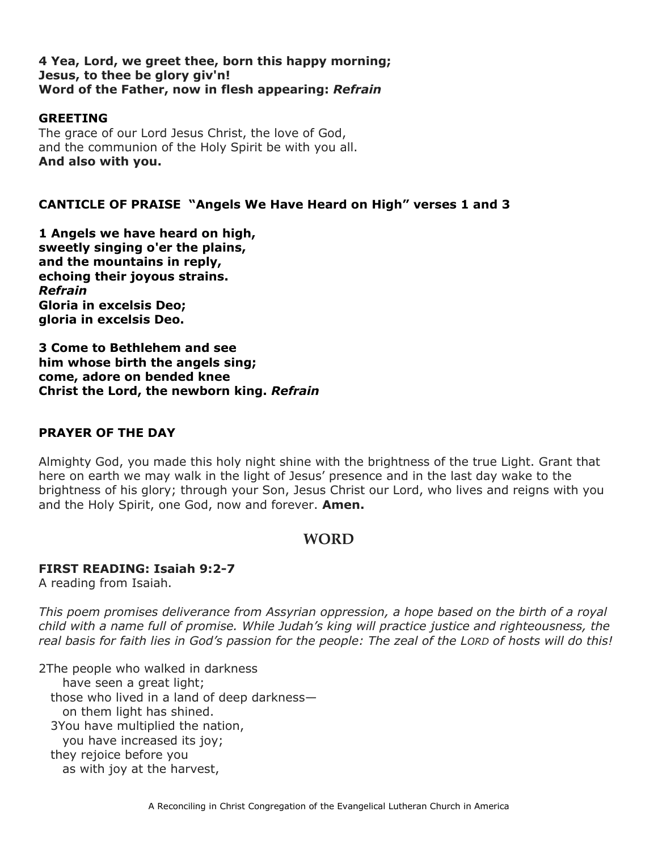#### **4 Yea, Lord, we greet thee, born this happy morning; Jesus, to thee be glory giv'n! Word of the Father, now in flesh appearing:** *Refrain*

### **GREETING**

The grace of our Lord Jesus Christ, the love of God, and the communion of the Holy Spirit be with you all. **And also with you.**

## **CANTICLE OF PRAISE "Angels We Have Heard on High" verses 1 and 3**

**1 Angels we have heard on high, sweetly singing o'er the plains, and the mountains in reply, echoing their joyous strains.** *Refrain* **Gloria in excelsis Deo; gloria in excelsis Deo.**

**3 Come to Bethlehem and see him whose birth the angels sing; come, adore on bended knee Christ the Lord, the newborn king.** *Refrain*

### **PRAYER OF THE DAY**

Almighty God, you made this holy night shine with the brightness of the true Light. Grant that here on earth we may walk in the light of Jesus' presence and in the last day wake to the brightness of his glory; through your Son, Jesus Christ our Lord, who lives and reigns with you and the Holy Spirit, one God, now and forever. **Amen.**

## **WORD**

### **FIRST READING: Isaiah 9:2-7**

A reading from Isaiah.

*This poem promises deliverance from Assyrian oppression, a hope based on the birth of a royal child with a name full of promise. While Judah's king will practice justice and righteousness, the* real basis for faith lies in God's passion for the people: The zeal of the LORD of hosts will do this!

2The people who walked in darkness have seen a great light; those who lived in a land of deep darkness on them light has shined. 3You have multiplied the nation, you have increased its joy; they rejoice before you as with joy at the harvest,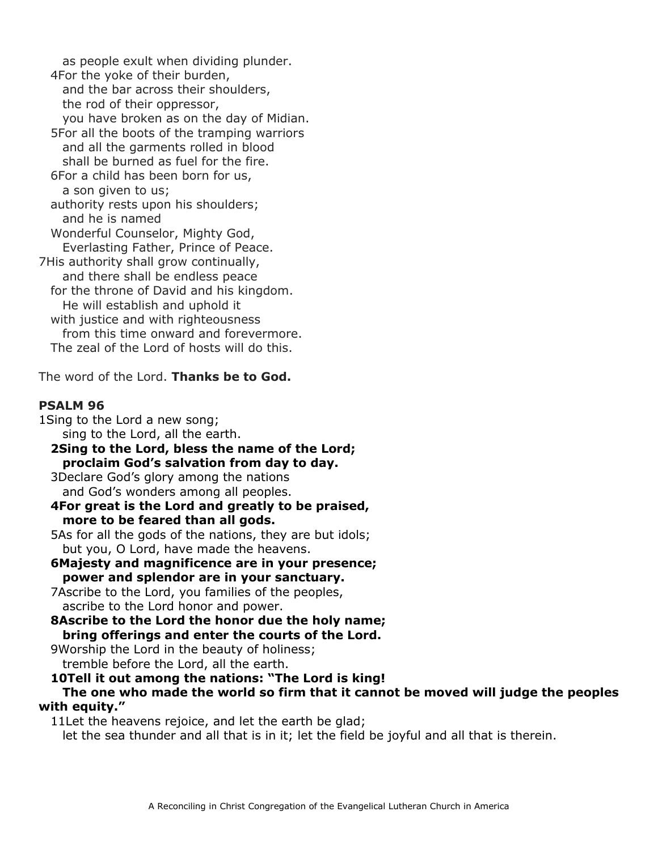as people exult when dividing plunder. 4For the yoke of their burden, and the bar across their shoulders, the rod of their oppressor, you have broken as on the day of Midian. 5For all the boots of the tramping warriors and all the garments rolled in blood shall be burned as fuel for the fire. 6For a child has been born for us, a son given to us; authority rests upon his shoulders; and he is named Wonderful Counselor, Mighty God, Everlasting Father, Prince of Peace. 7His authority shall grow continually, and there shall be endless peace for the throne of David and his kingdom. He will establish and uphold it with justice and with righteousness from this time onward and forevermore. The zeal of the Lord of hosts will do this.

The word of the Lord. **Thanks be to God.**

## **PSALM 96**

- 1Sing to the Lord a new song; sing to the Lord, all the earth. **2Sing to the Lord, bless the name of the Lord; proclaim God's salvation from day to day.** 3Declare God's glory among the nations and God's wonders among all peoples. **4For great is the Lord and greatly to be praised, more to be feared than all gods.** 5As for all the gods of the nations, they are but idols; but you, O Lord, have made the heavens. **6Majesty and magnificence are in your presence; power and splendor are in your sanctuary.** 7Ascribe to the Lord, you families of the peoples, ascribe to the Lord honor and power. **8Ascribe to the Lord the honor due the holy name; bring offerings and enter the courts of the Lord.** 9Worship the Lord in the beauty of holiness; tremble before the Lord, all the earth.
- **10Tell it out among the nations: "The Lord is king! The one who made the world so firm that it cannot be moved will judge the peoples with equity."**

11Let the heavens rejoice, and let the earth be glad; let the sea thunder and all that is in it; let the field be joyful and all that is therein.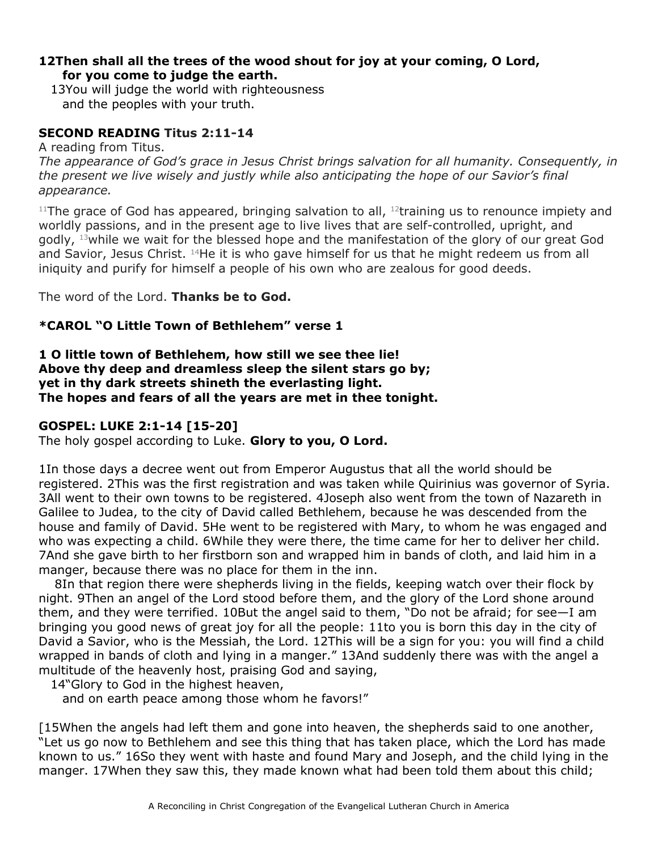## **12Then shall all the trees of the wood shout for joy at your coming, O Lord, for you come to judge the earth.**

13You will judge the world with righteousness and the peoples with your truth.

## **SECOND READING Titus 2:11-14**

A reading from Titus.

*The appearance of God's grace in Jesus Christ brings salvation for all humanity. Consequently, in the present we live wisely and justly while also anticipating the hope of our Savior's final appearance.*

<sup>11</sup>The grace of God has appeared, bringing salvation to all,  $12$ training us to renounce impiety and worldly passions, and in the present age to live lives that are self-controlled, upright, and godly,  $^{13}$ while we wait for the blessed hope and the manifestation of the glory of our great God and Savior, Jesus Christ. <sup>14</sup>He it is who gave himself for us that he might redeem us from all iniquity and purify for himself a people of his own who are zealous for good deeds.

The word of the Lord. **Thanks be to God.**

## **\*CAROL "O Little Town of Bethlehem" verse 1**

## **1 O little town of Bethlehem, how still we see thee lie! Above thy deep and dreamless sleep the silent stars go by; yet in thy dark streets shineth the everlasting light. The hopes and fears of all the years are met in thee tonight.**

## **GOSPEL: LUKE 2:1-14 [15-20]**

The holy gospel according to Luke. **Glory to you, O Lord.**

1In those days a decree went out from Emperor Augustus that all the world should be registered. 2This was the first registration and was taken while Quirinius was governor of Syria. 3All went to their own towns to be registered. 4Joseph also went from the town of Nazareth in Galilee to Judea, to the city of David called Bethlehem, because he was descended from the house and family of David. 5He went to be registered with Mary, to whom he was engaged and who was expecting a child. 6While they were there, the time came for her to deliver her child. 7And she gave birth to her firstborn son and wrapped him in bands of cloth, and laid him in a manger, because there was no place for them in the inn.

8In that region there were shepherds living in the fields, keeping watch over their flock by night. 9Then an angel of the Lord stood before them, and the glory of the Lord shone around them, and they were terrified. 10But the angel said to them, "Do not be afraid; for see—I am bringing you good news of great joy for all the people: 11to you is born this day in the city of David a Savior, who is the Messiah, the Lord. 12This will be a sign for you: you will find a child wrapped in bands of cloth and lying in a manger." 13And suddenly there was with the angel a multitude of the heavenly host, praising God and saying,

14"Glory to God in the highest heaven,

and on earth peace among those whom he favors!"

[15When the angels had left them and gone into heaven, the shepherds said to one another, "Let us go now to Bethlehem and see this thing that has taken place, which the Lord has made known to us." 16So they went with haste and found Mary and Joseph, and the child lying in the manger. 17When they saw this, they made known what had been told them about this child;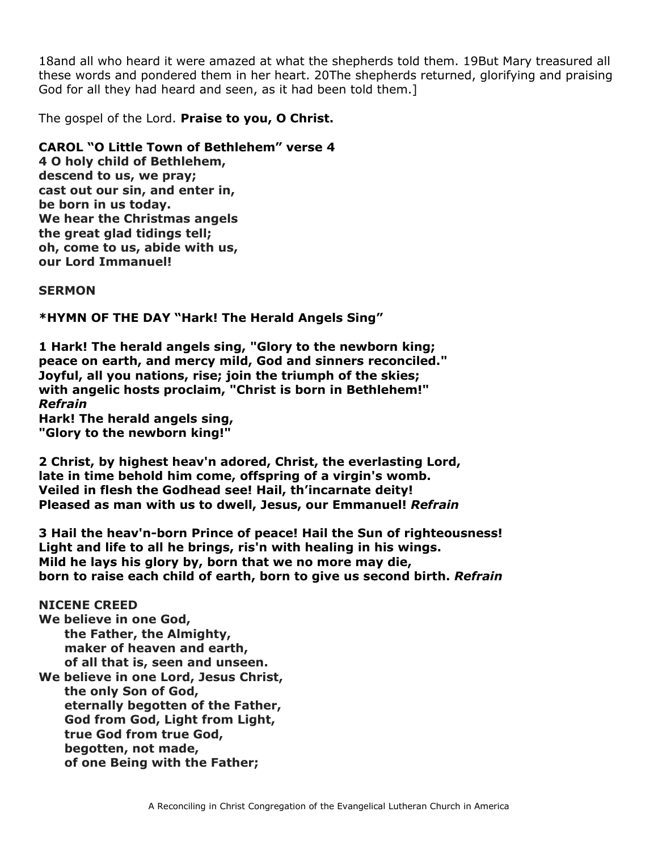18and all who heard it were amazed at what the shepherds told them. 19But Mary treasured all these words and pondered them in her heart. 20The shepherds returned, glorifying and praising God for all they had heard and seen, as it had been told them.]

The gospel of the Lord. **Praise to you, O Christ.**

**CAROL "O Little Town of Bethlehem" verse 4**

**4 O holy child of Bethlehem, descend to us, we pray; cast out our sin, and enter in, be born in us today. We hear the Christmas angels the great glad tidings tell; oh, come to us, abide with us, our Lord Immanuel!**

**SERMON**

**\*HYMN OF THE DAY "Hark! The Herald Angels Sing"**

**1 Hark! The herald angels sing, "Glory to the newborn king; peace on earth, and mercy mild, God and sinners reconciled." Joyful, all you nations, rise; join the triumph of the skies; with angelic hosts proclaim, "Christ is born in Bethlehem!"** *Refrain*

**Hark! The herald angels sing, "Glory to the newborn king!"**

**2 Christ, by highest heav'n adored, Christ, the everlasting Lord, late in time behold him come, offspring of a virgin's womb. Veiled in flesh the Godhead see! Hail, th'incarnate deity! Pleased as man with us to dwell, Jesus, our Emmanuel!** *Refrain*

**3 Hail the heav'n-born Prince of peace! Hail the Sun of righteousness! Light and life to all he brings, ris'n with healing in his wings. Mild he lays his glory by, born that we no more may die, born to raise each child of earth, born to give us second birth.** *Refrain*

**NICENE CREED**

**We believe in one God, the Father, the Almighty, maker of heaven and earth, of all that is, seen and unseen.**

**We believe in one Lord, Jesus Christ, the only Son of God, eternally begotten of the Father, God from God, Light from Light, true God from true God, begotten, not made, of one Being with the Father;**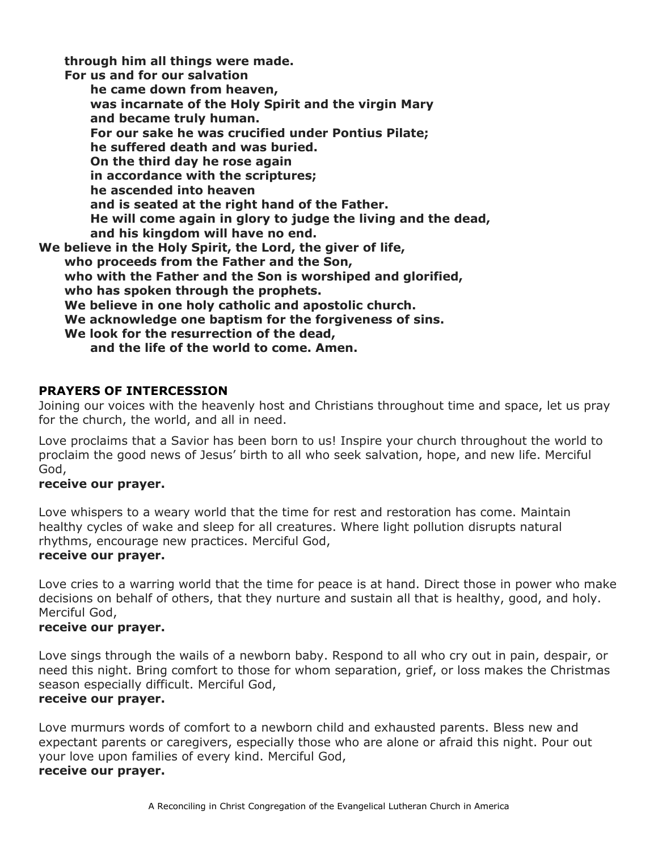**through him all things were made.**

**For us and for our salvation he came down from heaven, was incarnate of the Holy Spirit and the virgin Mary and became truly human. For our sake he was crucified under Pontius Pilate; he suffered death and was buried. On the third day he rose again in accordance with the scriptures; he ascended into heaven and is seated at the right hand of the Father. He will come again in glory to judge the living and the dead, and his kingdom will have no end. We believe in the Holy Spirit, the Lord, the giver of life, who proceeds from the Father and the Son, who with the Father and the Son is worshiped and glorified, who has spoken through the prophets. We believe in one holy catholic and apostolic church. We acknowledge one baptism for the forgiveness of sins. We look for the resurrection of the dead, and the life of the world to come. Amen.**

## **PRAYERS OF INTERCESSION**

Joining our voices with the heavenly host and Christians throughout time and space, let us pray for the church, the world, and all in need.

Love proclaims that a Savior has been born to us! Inspire your church throughout the world to proclaim the good news of Jesus' birth to all who seek salvation, hope, and new life. Merciful God,

### **receive our prayer.**

Love whispers to a weary world that the time for rest and restoration has come. Maintain healthy cycles of wake and sleep for all creatures. Where light pollution disrupts natural rhythms, encourage new practices. Merciful God,

#### **receive our prayer.**

Love cries to a warring world that the time for peace is at hand. Direct those in power who make decisions on behalf of others, that they nurture and sustain all that is healthy, good, and holy. Merciful God,

## **receive our prayer.**

Love sings through the wails of a newborn baby. Respond to all who cry out in pain, despair, or need this night. Bring comfort to those for whom separation, grief, or loss makes the Christmas season especially difficult. Merciful God,

## **receive our prayer.**

Love murmurs words of comfort to a newborn child and exhausted parents. Bless new and expectant parents or caregivers, especially those who are alone or afraid this night. Pour out your love upon families of every kind. Merciful God,

## **receive our prayer.**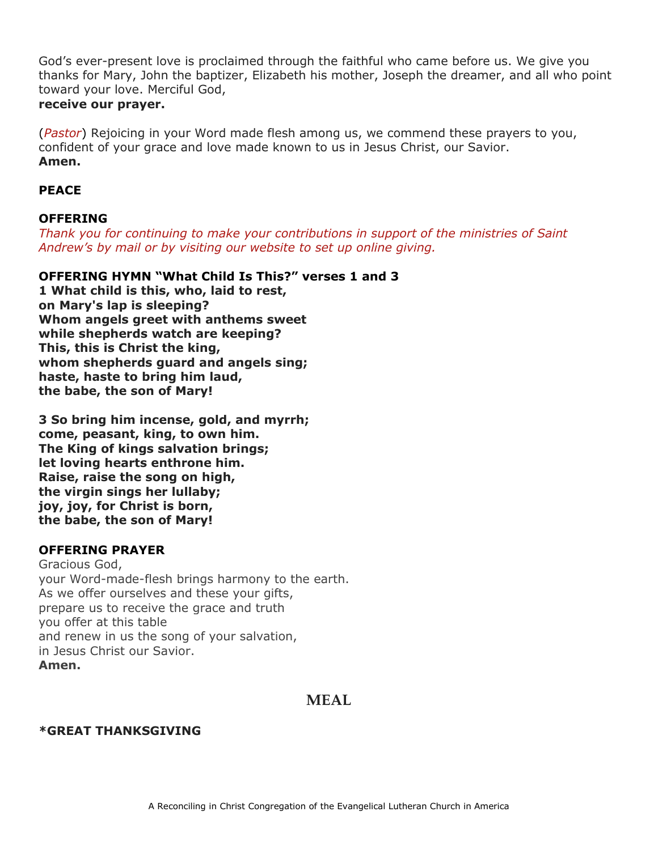God's ever-present love is proclaimed through the faithful who came before us. We give you thanks for Mary, John the baptizer, Elizabeth his mother, Joseph the dreamer, and all who point toward your love. Merciful God,

## **receive our prayer.**

(*Pastor*) Rejoicing in your Word made flesh among us, we commend these prayers to you, confident of your grace and love made known to us in Jesus Christ, our Savior. **Amen.**

## **PEACE**

## **OFFERING**

*Thank you for continuing to make your contributions in support of the ministries of Saint Andrew's by mail or by visiting our website to set up online giving.*

## **OFFERING HYMN "What Child Is This?" verses 1 and 3**

**1 What child is this, who, laid to rest, on Mary's lap is sleeping? Whom angels greet with anthems sweet while shepherds watch are keeping? This, this is Christ the king, whom shepherds guard and angels sing; haste, haste to bring him laud, the babe, the son of Mary!**

**3 So bring him incense, gold, and myrrh; come, peasant, king, to own him. The King of kings salvation brings; let loving hearts enthrone him. Raise, raise the song on high, the virgin sings her lullaby; joy, joy, for Christ is born, the babe, the son of Mary!**

## **OFFERING PRAYER**

Gracious God, your Word-made-flesh brings harmony to the earth. As we offer ourselves and these your gifts, prepare us to receive the grace and truth you offer at this table and renew in us the song of your salvation, in Jesus Christ our Savior. **Amen.**

## **MEAL**

## **\*GREAT THANKSGIVING**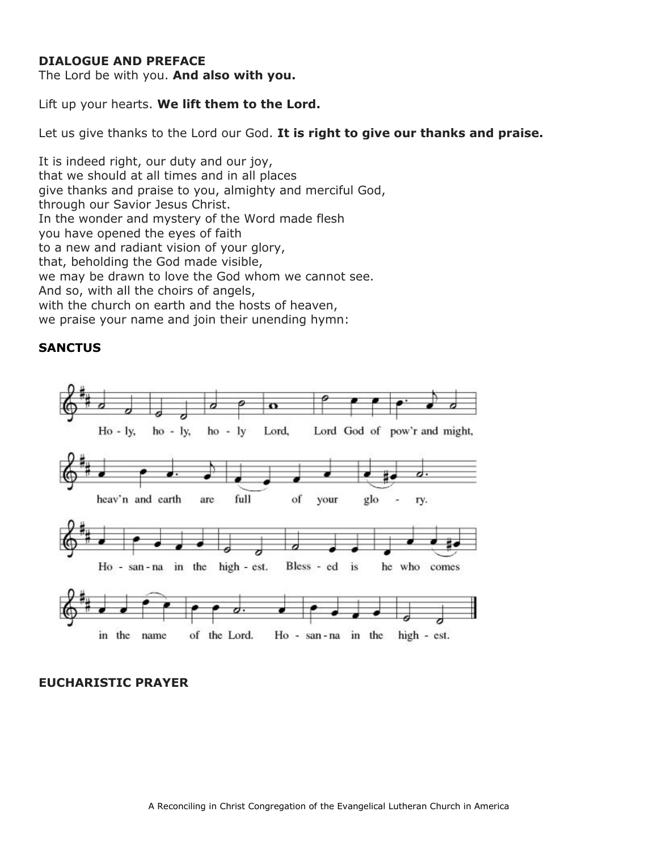### **DIALOGUE AND PREFACE**

The Lord be with you. **And also with you.**

Lift up your hearts. **We lift them to the Lord.**

Let us give thanks to the Lord our God. **It is right to give our thanks and praise.**

It is indeed right, our duty and our joy, that we should at all times and in all places give thanks and praise to you, almighty and merciful God, through our Savior Jesus Christ. In the wonder and mystery of the Word made flesh you have opened the eyes of faith to a new and radiant vision of your glory, that, beholding the God made visible, we may be drawn to love the God whom we cannot see. And so, with all the choirs of angels, with the church on earth and the hosts of heaven, we praise your name and join their unending hymn:

### **SANCTUS**



#### **EUCHARISTIC PRAYER**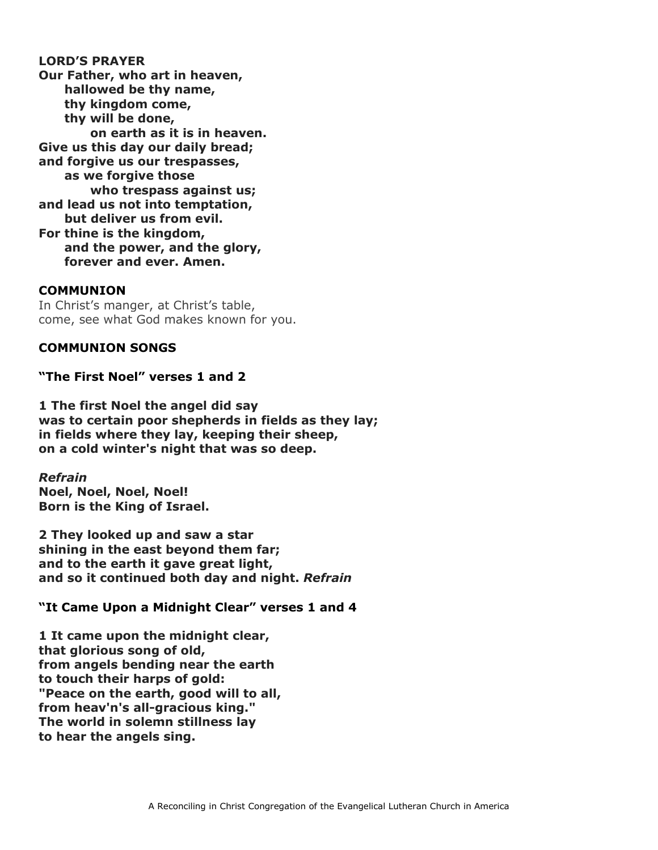**LORD'S PRAYER Our Father, who art in heaven, hallowed be thy name, thy kingdom come, thy will be done, on earth as it is in heaven. Give us this day our daily bread; and forgive us our trespasses, as we forgive those who trespass against us; and lead us not into temptation, but deliver us from evil. For thine is the kingdom, and the power, and the glory, forever and ever. Amen.**

#### **COMMUNION**

In Christ's manger, at Christ's table, come, see what God makes known for you.

### **COMMUNION SONGS**

**"The First Noel" verses 1 and 2**

**1 The first Noel the angel did say was to certain poor shepherds in fields as they lay; in fields where they lay, keeping their sheep, on a cold winter's night that was so deep.**

*Refrain* **Noel, Noel, Noel, Noel! Born is the King of Israel.**

**2 They looked up and saw a star shining in the east beyond them far; and to the earth it gave great light, and so it continued both day and night.** *Refrain*

### **"It Came Upon a Midnight Clear" verses 1 and 4**

**1 It came upon the midnight clear, that glorious song of old, from angels bending near the earth to touch their harps of gold: "Peace on the earth, good will to all, from heav'n's all-gracious king." The world in solemn stillness lay to hear the angels sing.**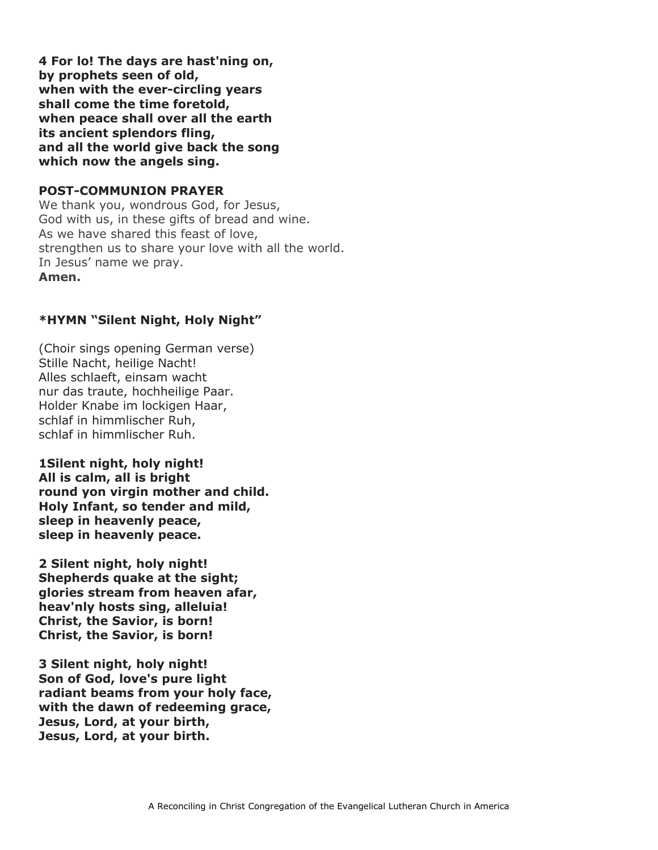**4 For lo! The days are hast'ning on, by prophets seen of old, when with the ever-circling years shall come the time foretold, when peace shall over all the earth its ancient splendors fling, and all the world give back the song which now the angels sing.**

### **POST-COMMUNION PRAYER**

We thank you, wondrous God, for Jesus, God with us, in these gifts of bread and wine. As we have shared this feast of love, strengthen us to share your love with all the world. In Jesus' name we pray. **Amen.**

## **\*HYMN "Silent Night, Holy Night"**

(Choir sings opening German verse) Stille Nacht, heilige Nacht! Alles schlaeft, einsam wacht nur das traute, hochheilige Paar. Holder Knabe im lockigen Haar, schlaf in himmlischer Ruh, schlaf in himmlischer Ruh.

**1Silent night, holy night! All is calm, all is bright round yon virgin mother and child. Holy Infant, so tender and mild, sleep in heavenly peace, sleep in heavenly peace.**

**2 Silent night, holy night! Shepherds quake at the sight; glories stream from heaven afar, heav'nly hosts sing, alleluia! Christ, the Savior, is born! Christ, the Savior, is born!**

**3 Silent night, holy night! Son of God, love's pure light radiant beams from your holy face, with the dawn of redeeming grace, Jesus, Lord, at your birth, Jesus, Lord, at your birth.**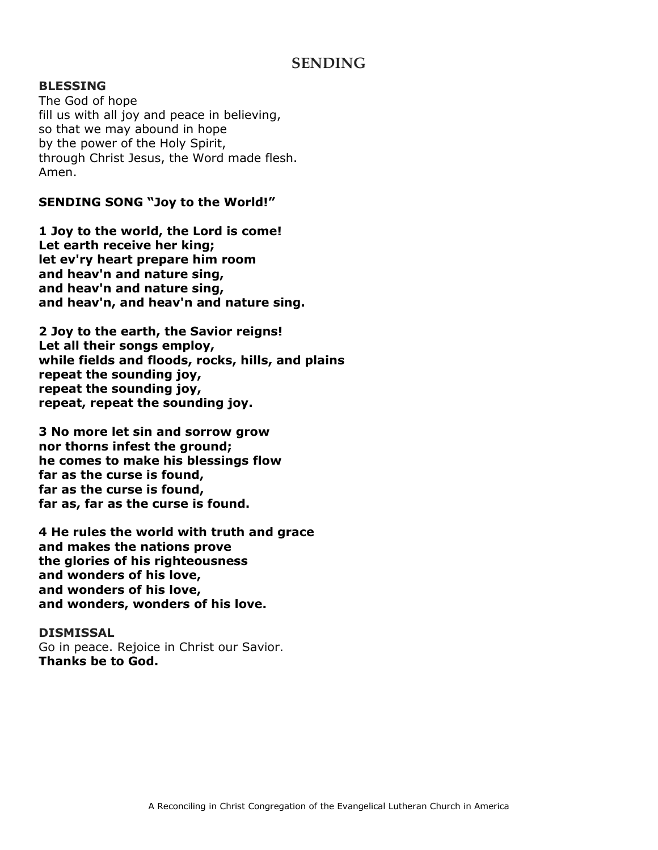## **SENDING**

#### **BLESSING**

The God of hope fill us with all joy and peace in believing, so that we may abound in hope by the power of the Holy Spirit, through Christ Jesus, the Word made flesh. Amen.

#### **SENDING SONG "Joy to the World!"**

**1 Joy to the world, the Lord is come! Let earth receive her king; let ev'ry heart prepare him room and heav'n and nature sing, and heav'n and nature sing, and heav'n, and heav'n and nature sing.**

**2 Joy to the earth, the Savior reigns! Let all their songs employ, while fields and floods, rocks, hills, and plains repeat the sounding joy, repeat the sounding joy, repeat, repeat the sounding joy.**

**3 No more let sin and sorrow grow nor thorns infest the ground; he comes to make his blessings flow far as the curse is found, far as the curse is found, far as, far as the curse is found.**

**4 He rules the world with truth and grace and makes the nations prove the glories of his righteousness and wonders of his love, and wonders of his love, and wonders, wonders of his love.**

#### **DISMISSAL**

Go in peace. Rejoice in Christ our Savior. **Thanks be to God.**